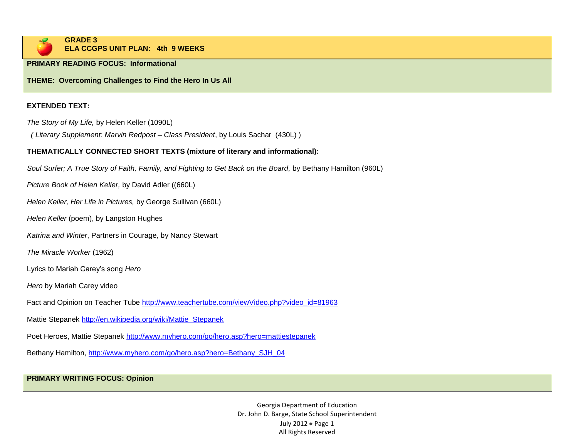

#### **GRADE 3 ELA CCGPS UNIT PLAN: 4th 9 WEEKS**

# **PRIMARY READING FOCUS: Informational**

**THEME: Overcoming Challenges to Find the Hero In Us All** 

# **EXTENDED TEXT:**

*The Story of My Life,* by Helen Keller (1090L)

*( Literary Supplement: Marvin Redpost – Class President*, by Louis Sachar (430L) )

# **THEMATICALLY CONNECTED SHORT TEXTS (mixture of literary and informational):**

Soul Surfer; A True Story of Faith, Family, and Fighting to Get Back on the Board, by Bethany Hamilton (960L)

*Picture Book of Helen Keller,* by David Adler ((660L)

*Helen Keller, Her Life in Pictures,* by George Sullivan (660L)

*Helen Keller (poem), by Langston Hughes* 

*Katrina and Winter*, Partners in Courage, by Nancy Stewart

*The Miracle Worker* (1962)

Lyrics to Mariah Carey's song *Hero* 

*Hero* by Mariah Carey video

Fact and Opinion on Teacher Tube [http://www.teachertube.com/viewVideo.php?video\\_id=81963](http://www.teachertube.com/viewVideo.php?video_id=81963)

Mattie Stepanek [http://en.wikipedia.org/wiki/Mattie\\_Stepanek](http://en.wikipedia.org/wiki/Mattie_Stepanek)

Poet Heroes, Mattie Stepanek<http://www.myhero.com/go/hero.asp?hero=mattiestepanek>

Bethany Hamilton, [http://www.myhero.com/go/hero.asp?hero=Bethany\\_SJH\\_04](http://www.myhero.com/go/hero.asp?hero=Bethany_SJH_04)

**PRIMARY WRITING FOCUS: Opinion**

Georgia Department of Education Dr. John D. Barge, State School Superintendent July 2012 . Page 1 All Rights Reserved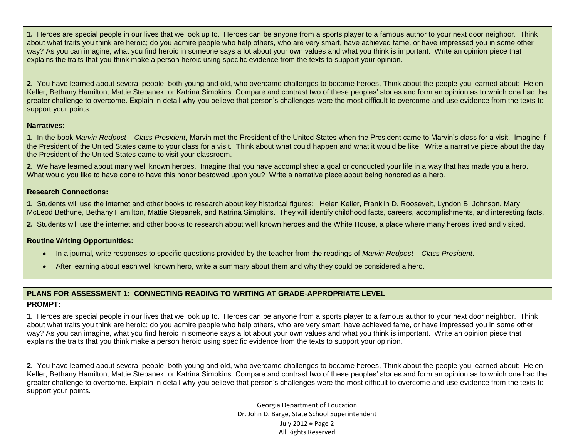**1.** Heroes are special people in our lives that we look up to. Heroes can be anyone from a sports player to a famous author to your next door neighbor. Think about what traits you think are heroic; do you admire people who help others, who are very smart, have achieved fame, or have impressed you in some other way? As you can imagine, what you find heroic in someone says a lot about your own values and what you think is important. Write an opinion piece that explains the traits that you think make a person heroic using specific evidence from the texts to support your opinion.

**2.** You have learned about several people, both young and old, who overcame challenges to become heroes, Think about the people you learned about: Helen Keller, Bethany Hamilton, Mattie Stepanek, or Katrina Simpkins. Compare and contrast two of these peoples' stories and form an opinion as to which one had the greater challenge to overcome. Explain in detail why you believe that person's challenges were the most difficult to overcome and use evidence from the texts to support your points.

## **Narratives:**

**1.** In the book *Marvin Redpost – Class President*, Marvin met the President of the United States when the President came to Marvin's class for a visit. Imagine if the President of the United States came to your class for a visit. Think about what could happen and what it would be like. Write a narrative piece about the day the President of the United States came to visit your classroom.

**2.** We have learned about many well known heroes. Imagine that you have accomplished a goal or conducted your life in a way that has made you a hero. What would you like to have done to have this honor bestowed upon you? Write a narrative piece about being honored as a hero.

## **Research Connections:**

**1.** Students will use the internet and other books to research about key historical figures: Helen Keller, Franklin D. Roosevelt, Lyndon B. Johnson, Mary McLeod Bethune, Bethany Hamilton, Mattie Stepanek, and Katrina Simpkins. They will identify childhood facts, careers, accomplishments, and interesting facts.

**2.** Students will use the internet and other books to research about well known heroes and the White House, a place where many heroes lived and visited.

# **Routine Writing Opportunities:**

- In a journal, write responses to specific questions provided by the teacher from the readings of *Marvin Redpost – Class President*.  $\bullet$
- After learning about each well known hero, write a summary about them and why they could be considered a hero.  $\bullet$

# **PLANS FOR ASSESSMENT 1: CONNECTING READING TO WRITING AT GRADE-APPROPRIATE LEVEL**

# **PROMPT:**

**1.** Heroes are special people in our lives that we look up to. Heroes can be anyone from a sports player to a famous author to your next door neighbor. Think about what traits you think are heroic; do you admire people who help others, who are very smart, have achieved fame, or have impressed you in some other way? As you can imagine, what you find heroic in someone says a lot about your own values and what you think is important. Write an opinion piece that explains the traits that you think make a person heroic using specific evidence from the texts to support your opinion.

**2.** You have learned about several people, both young and old, who overcame challenges to become heroes, Think about the people you learned about: Helen Keller, Bethany Hamilton, Mattie Stepanek, or Katrina Simpkins. Compare and contrast two of these peoples' stories and form an opinion as to which one had the greater challenge to overcome. Explain in detail why you believe that person's challenges were the most difficult to overcome and use evidence from the texts to support your points.

> Georgia Department of Education Dr. John D. Barge, State School Superintendent July 2012 . Page 2 All Rights Reserved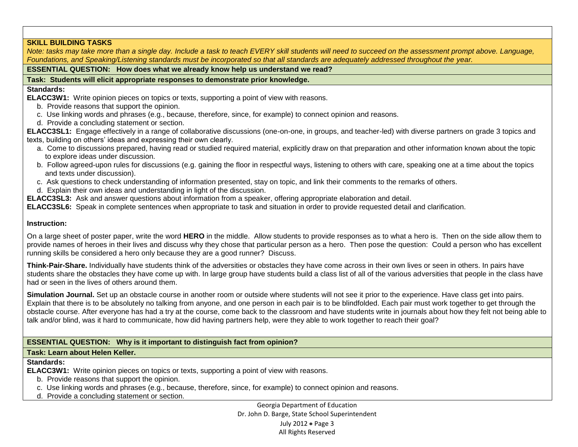### **SKILL BUILDING TASKS**

*Note: tasks may take more than a single day. Include a task to teach EVERY skill students will need to succeed on the assessment prompt above. Language, Foundations, and Speaking/Listening standards must be incorporated so that all standards are adequately addressed throughout the year.* 

# **ESSENTIAL QUESTION: How does what we already know help us understand we read?**

#### **Task: Students will elicit appropriate responses to demonstrate prior knowledge.**

## **Standards:**

**ELACC3W1:** Write opinion pieces on topics or texts, supporting a point of view with reasons.

- b. Provide reasons that support the opinion.
- c. Use linking words and phrases (e.g., because, therefore, since, for example) to connect opinion and reasons.
- d. Provide a concluding statement or section.

**ELACC3SL1:** Engage effectively in a range of collaborative discussions (one-on-one, in groups, and teacher-led) with diverse partners on grade 3 topics and texts, building on others' ideas and expressing their own clearly.

- a. Come to discussions prepared, having read or studied required material, explicitly draw on that preparation and other information known about the topic to explore ideas under discussion.
- b. Follow agreed-upon rules for discussions (e.g. gaining the floor in respectful ways, listening to others with care, speaking one at a time about the topics and texts under discussion).
- c. Ask questions to check understanding of information presented, stay on topic, and link their comments to the remarks of others.
- d. Explain their own ideas and understanding in light of the discussion.
- **ELACC3SL3:** Ask and answer questions about information from a speaker, offering appropriate elaboration and detail.

**ELACC3SL6:** Speak in complete sentences when appropriate to task and situation in order to provide requested detail and clarification.

## **Instruction:**

On a large sheet of poster paper, write the word **HERO** in the middle. Allow students to provide responses as to what a hero is. Then on the side allow them to provide names of heroes in their lives and discuss why they chose that particular person as a hero. Then pose the question: Could a person who has excellent running skills be considered a hero only because they are a good runner? Discuss.

**Think-Pair-Share.** Individually have students think of the adversities or obstacles they have come across in their own lives or seen in others. In pairs have students share the obstacles they have come up with. In large group have students build a class list of all of the various adversities that people in the class have had or seen in the lives of others around them.

Simulation Journal. Set up an obstacle course in another room or outside where students will not see it prior to the experience. Have class get into pairs. Explain that there is to be absolutely no talking from anyone, and one person in each pair is to be blindfolded. Each pair must work together to get through the obstacle course. After everyone has had a try at the course, come back to the classroom and have students write in journals about how they felt not being able to talk and/or blind, was it hard to communicate, how did having partners help, were they able to work together to reach their goal?

# **ESSENTIAL QUESTION: Why is it important to distinguish fact from opinion?**

# **Task: Learn about Helen Keller.**

## **Standards:**

**ELACC3W1:** Write opinion pieces on topics or texts, supporting a point of view with reasons.

- b. Provide reasons that support the opinion.
- c. Use linking words and phrases (e.g., because, therefore, since, for example) to connect opinion and reasons.
- d. Provide a concluding statement or section.

Georgia Department of Education Dr. John D. Barge, State School Superintendent July 2012 Page 3 All Rights Reserved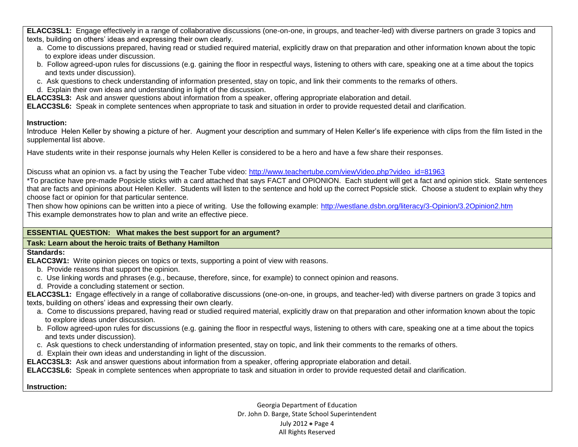**ELACC3SL1:** Engage effectively in a range of collaborative discussions (one-on-one, in groups, and teacher-led) with diverse partners on grade 3 topics and texts, building on others' ideas and expressing their own clearly.

- a. Come to discussions prepared, having read or studied required material, explicitly draw on that preparation and other information known about the topic to explore ideas under discussion.
- b. Follow agreed-upon rules for discussions (e.g. gaining the floor in respectful ways, listening to others with care, speaking one at a time about the topics and texts under discussion).
- c. Ask questions to check understanding of information presented, stay on topic, and link their comments to the remarks of others.
- d. Explain their own ideas and understanding in light of the discussion.

**ELACC3SL3:** Ask and answer questions about information from a speaker, offering appropriate elaboration and detail.

**ELACC3SL6:** Speak in complete sentences when appropriate to task and situation in order to provide requested detail and clarification.

# **Instruction:**

Introduce Helen Keller by showing a picture of her. Augment your description and summary of Helen Keller's life experience with clips from the film listed in the supplemental list above.

Have students write in their response journals why Helen Keller is considered to be a hero and have a few share their responses.

Discuss what an opinion vs. a fact by using the Teacher Tube video: [http://www.teachertube.com/viewVideo.php?video\\_id=81963](http://www.teachertube.com/viewVideo.php?video_id=81963)

\*To practice have pre-made Popsicle sticks with a card attached that says FACT and OPIONION. Each student will get a fact and opinion stick. State sentences that are facts and opinions about Helen Keller. Students will listen to the sentence and hold up the correct Popsicle stick. Choose a student to explain why they choose fact or opinion for that particular sentence.

Then show how opinions can be written into a piece of writing. Use the following example: <http://westlane.dsbn.org/literacy/3-Opinion/3.2Opinion2.htm> This example demonstrates how to plan and write an effective piece.

# **ESSENTIAL QUESTION: What makes the best support for an argument?**

# **Task: Learn about the heroic traits of Bethany Hamilton**

**Standards:** 

**ELACC3W1:** Write opinion pieces on topics or texts, supporting a point of view with reasons.

- b. Provide reasons that support the opinion.
- c. Use linking words and phrases (e.g., because, therefore, since, for example) to connect opinion and reasons.
- d. Provide a concluding statement or section.

**ELACC3SL1:** Engage effectively in a range of collaborative discussions (one-on-one, in groups, and teacher-led) with diverse partners on grade 3 topics and texts, building on others' ideas and expressing their own clearly.

- a. Come to discussions prepared, having read or studied required material, explicitly draw on that preparation and other information known about the topic to explore ideas under discussion.
- b. Follow agreed-upon rules for discussions (e.g. gaining the floor in respectful ways, listening to others with care, speaking one at a time about the topics and texts under discussion).
- c. Ask questions to check understanding of information presented, stay on topic, and link their comments to the remarks of others.
- d. Explain their own ideas and understanding in light of the discussion.
- **ELACC3SL3:** Ask and answer questions about information from a speaker, offering appropriate elaboration and detail.

**ELACC3SL6:** Speak in complete sentences when appropriate to task and situation in order to provide requested detail and clarification.

**Instruction:** 

Georgia Department of Education Dr. John D. Barge, State School Superintendent July 2012 Page 4 All Rights Reserved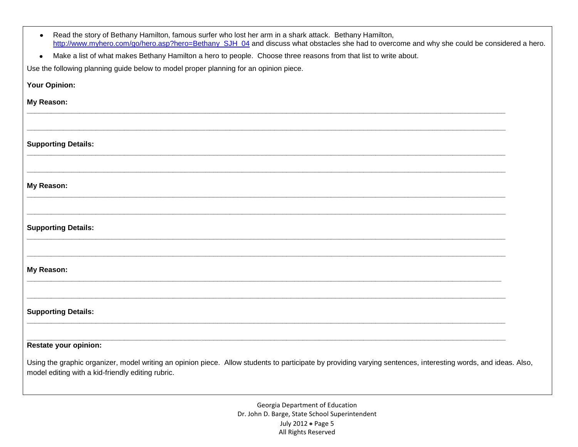| Read the story of Bethany Hamilton, famous surfer who lost her arm in a shark attack. Bethany Hamilton,<br>$\bullet$<br>http://www.myhero.com/go/hero.asp?hero=Bethany_SJH_04 and discuss what obstacles she had to overcome and why she could be considered a hero. |  |  |  |  |  |  |  |  |
|----------------------------------------------------------------------------------------------------------------------------------------------------------------------------------------------------------------------------------------------------------------------|--|--|--|--|--|--|--|--|
| Make a list of what makes Bethany Hamilton a hero to people. Choose three reasons from that list to write about.<br>$\bullet$                                                                                                                                        |  |  |  |  |  |  |  |  |
| Use the following planning guide below to model proper planning for an opinion piece.                                                                                                                                                                                |  |  |  |  |  |  |  |  |
| <b>Your Opinion:</b>                                                                                                                                                                                                                                                 |  |  |  |  |  |  |  |  |
| My Reason:                                                                                                                                                                                                                                                           |  |  |  |  |  |  |  |  |
| <b>Supporting Details:</b>                                                                                                                                                                                                                                           |  |  |  |  |  |  |  |  |
| My Reason:                                                                                                                                                                                                                                                           |  |  |  |  |  |  |  |  |
| <b>Supporting Details:</b>                                                                                                                                                                                                                                           |  |  |  |  |  |  |  |  |
| My Reason:                                                                                                                                                                                                                                                           |  |  |  |  |  |  |  |  |
| <b>Supporting Details:</b>                                                                                                                                                                                                                                           |  |  |  |  |  |  |  |  |
| Restate your opinion:                                                                                                                                                                                                                                                |  |  |  |  |  |  |  |  |
| Using the graphic organizer, model writing an opinion piece. Allow students to participate by providing varying sentences, interesting words, and ideas. Also,<br>model editing with a kid-friendly editing rubric.                                                  |  |  |  |  |  |  |  |  |
|                                                                                                                                                                                                                                                                      |  |  |  |  |  |  |  |  |

Georgia Department of Education Dr. John D. Barge, State School Superintendent July 2012 . Page 5 All Rights Reserved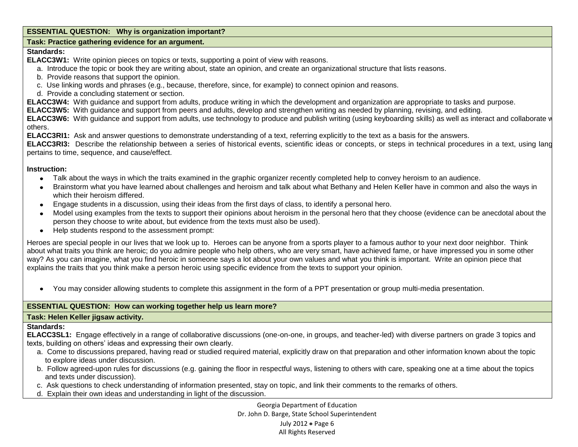# **ESSENTIAL QUESTION: Why is organization important?**

# **Task: Practice gathering evidence for an argument.**

# **Standards:**

**ELACC3W1:** Write opinion pieces on topics or texts, supporting a point of view with reasons.

- a. Introduce the topic or book they are writing about, state an opinion, and create an organizational structure that lists reasons.
- b. Provide reasons that support the opinion.
- c. Use linking words and phrases (e.g., because, therefore, since, for example) to connect opinion and reasons.
- d. Provide a concluding statement or section.

**ELACC3W4:** With guidance and support from adults, produce writing in which the development and organization are appropriate to tasks and purpose.

**ELACC3W5:** With guidance and support from peers and adults, develop and strengthen writing as needed by planning, revising, and editing.

**ELACC3W6:** With guidance and support from adults, use technology to produce and publish writing (using keyboarding skills) as well as interact and collaborate w others.

**ELACC3RI1:** Ask and answer questions to demonstrate understanding of a text, referring explicitly to the text as a basis for the answers.

**ELACC3RI3:** Describe the relationship between a series of historical events, scientific ideas or concepts, or steps in technical procedures in a text, using land pertains to time, sequence, and cause/effect.

# **Instruction:**

- Talk about the ways in which the traits examined in the graphic organizer recently completed help to convey heroism to an audience.
- Brainstorm what you have learned about challenges and heroism and talk about what Bethany and Helen Keller have in common and also the ways in  $\bullet$ which their heroism differed.
- Engage students in a discussion, using their ideas from the first days of class, to identify a personal hero.
- Model using examples from the texts to support their opinions about heroism in the personal hero that they choose (evidence can be anecdotal about the  $\bullet$ person they choose to write about, but evidence from the texts must also be used).
- Help students respond to the assessment prompt:

Heroes are special people in our lives that we look up to. Heroes can be anyone from a sports player to a famous author to your next door neighbor. Think about what traits you think are heroic; do you admire people who help others, who are very smart, have achieved fame, or have impressed you in some other way? As you can imagine, what you find heroic in someone says a lot about your own values and what you think is important. Write an opinion piece that explains the traits that you think make a person heroic using specific evidence from the texts to support your opinion.

You may consider allowing students to complete this assignment in the form of a PPT presentation or group multi-media presentation.

# **ESSENTIAL QUESTION: How can working together help us learn more?**

# **Task: Helen Keller jigsaw activity.**

# **Standards:**

**ELACC3SL1:** Engage effectively in a range of collaborative discussions (one-on-one, in groups, and teacher-led) with diverse partners on grade 3 topics and texts, building on others' ideas and expressing their own clearly.

- a. Come to discussions prepared, having read or studied required material, explicitly draw on that preparation and other information known about the topic to explore ideas under discussion.
- b. Follow agreed-upon rules for discussions (e.g. gaining the floor in respectful ways, listening to others with care, speaking one at a time about the topics and texts under discussion).
- c. Ask questions to check understanding of information presented, stay on topic, and link their comments to the remarks of others.
- d. Explain their own ideas and understanding in light of the discussion.

Georgia Department of Education Dr. John D. Barge, State School Superintendent July 2012 Page 6 All Rights Reserved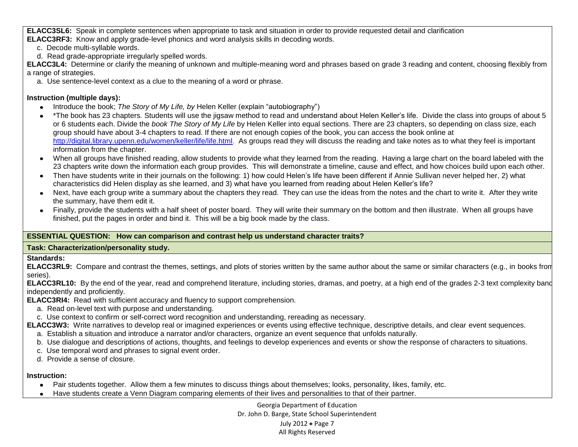**ELACC3SL6:** Speak in complete sentences when appropriate to task and situation in order to provide requested detail and clarification **ELACC3RF3:** Know and apply grade-level phonics and word analysis skills in decoding words.

c. Decode multi-syllable words.

d. Read grade-appropriate irregularly spelled words.

**ELACC3L4:** Determine or clarify the meaning of unknown and multiple-meaning word and phrases based on grade 3 reading and content, choosing flexibly from a range of strategies.

a. Use sentence-level context as a clue to the meaning of a word or phrase.

# **Instruction (multiple days):**

- Introduce the book; *The Story of My Life, by* Helen Keller (explain "autobiography")  $\bullet$
- \*The book has 23 chapters*.* Students will use the jigsaw method to read and understand about Helen Keller's life.Divide the class into groups of about 5 or 6 students each. Divide the *book The Story of My Life* by Helen Keller into equal sections. There are 23 chapters, so depending on class size, each group should have about 3-4 chapters to read. If there are not enough copies of the book, you can access the book online at [http://digital.library.upenn.edu/women/keller/life/life.html.](http://digital.library.upenn.edu/women/keller/life/life.html) As groups read they will discuss the reading and take notes as to what they feel is important information from the chapter.
- When all groups have finished reading, allow students to provide what they learned from the reading. Having a large chart on the board labeled with the 23 chapters write down the information each group provides. This will demonstrate a timeline, cause and effect, and how choices build upon each other.
- Then have students write in their journals on the following: 1) how could Helen's life have been different if Annie Sullivan never helped her, 2) what characteristics did Helen display as she learned, and 3) what have you learned from reading about Helen Keller's life?
- Next, have each group write a summary about the chapters they read. They can use the ideas from the notes and the chart to write it. After they write the summary, have them edit it.
- Finally, provide the students with a half sheet of poster board. They will write their summary on the bottom and then illustrate. When all groups have finished, put the pages in order and bind it. This will be a big book made by the class.

# **ESSENTIAL QUESTION: How can comparison and contrast help us understand character traits?**

# **Task: Characterization/personality study.**

# **Standards:**

**ELACC3RL9:** Compare and contrast the themes, settings, and plots of stories written by the same author about the same or similar characters (e.g., in books from a series).

**ELACC3RL10:** By the end of the year, read and comprehend literature, including stories, dramas, and poetry, at a high end of the grades 2-3 text complexity band independently and proficiently.

**ELACC3RI4:** Read with sufficient accuracy and fluency to support comprehension.

- a. Read on-level text with purpose and understanding.
- c. Use context to confirm or self-correct word recognition and understanding, rereading as necessary.

**ELACC3W3:** Write narratives to develop real or imagined experiences or events using effective technique, descriptive details, and clear event sequences.

- a. Establish a situation and introduce a narrator and/or characters, organize an event sequence that unfolds naturally.
- b. Use dialogue and descriptions of actions, thoughts, and feelings to develop experiences and events or show the response of characters to situations.
- c. Use temporal word and phrases to signal event order.
- d. Provide a sense of closure.

# **Instruction:**

- $\bullet$ Pair students together. Allow them a few minutes to discuss things about themselves; looks, personality, likes, family, etc.
- Have students create a Venn Diagram comparing elements of their lives and personalities to that of their partner.

Georgia Department of Education Dr. John D. Barge, State School Superintendent July 2012 . Page 7 All Rights Reserved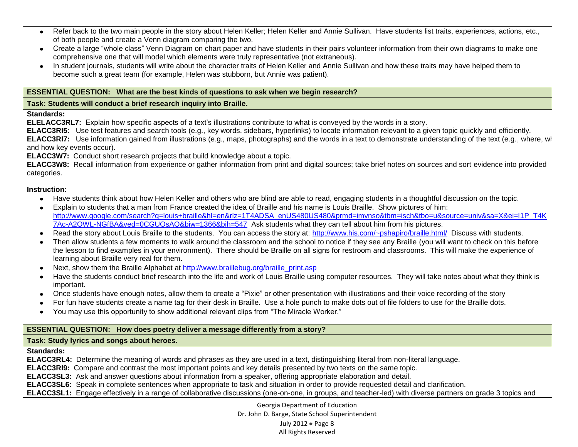- Refer back to the two main people in the story about Helen Keller; Helen Keller and Annie Sullivan. Have students list traits, experiences, actions, etc., of both people and create a Venn diagram comparing the two.
- Create a large "whole class" Venn Diagram on chart paper and have students in their pairs volunteer information from their own diagrams to make one comprehensive one that will model which elements were truly representative (not extraneous).
- In student journals, students will write about the character traits of Helen Keller and Annie Sullivan and how these traits may have helped them to become such a great team (for example, Helen was stubborn, but Annie was patient).

# **ESSENTIAL QUESTION: What are the best kinds of questions to ask when we begin research?**

## **Task: Students will conduct a brief research inquiry into Braille.**

# **Standards:**

**ELELACC3RL7:** Explain how specific aspects of a text's illustrations contribute to what is conveyed by the words in a story.

**ELACC3RI5:** Use test features and search tools (e.g., key words, sidebars, hyperlinks) to locate information relevant to a given topic quickly and efficiently. **ELACC3RI7:** Use information gained from illustrations (e.g., maps, photographs) and the words in a text to demonstrate understanding of the text (e.g., where, wh and how key events occur).

**ELACC3W7:** Conduct short research projects that build knowledge about a topic.

**ELACC3W8:** Recall information from experience or gather information from print and digital sources; take brief notes on sources and sort evidence into provided categories.

# **Instruction:**

- Have students think about how Helen Keller and others who are blind are able to read, engaging students in a thoughtful discussion on the topic.
- Explain to students that a man from France created the idea of Braille and his name is Louis Braille. Show pictures of him:  $\bullet$ [http://www.google.com/search?q=louis+braille&hl=en&rlz=1T4ADSA\\_enUS480US480&prmd=imvnso&tbm=isch&tbo=u&source=univ&sa=X&ei=l1P\\_T4K](http://www.google.com/search?q=louis+braille&hl=en&rlz=1T4ADSA_enUS480US480&prmd=imvnso&tbm=isch&tbo=u&source=univ&sa=X&ei=l1P_T4K7Ac-A2QWL-NGfBA&ved=0CGUQsAQ&biw=1366&bih=547) [7Ac-A2QWL-NGfBA&ved=0CGUQsAQ&biw=1366&bih=547](http://www.google.com/search?q=louis+braille&hl=en&rlz=1T4ADSA_enUS480US480&prmd=imvnso&tbm=isch&tbo=u&source=univ&sa=X&ei=l1P_T4K7Ac-A2QWL-NGfBA&ved=0CGUQsAQ&biw=1366&bih=547) Ask students what they can tell about him from his pictures.
- Read the story about Louis Braille to the students. You can access the story at:<http://www.his.com/~pshapiro/braille.html/>Discuss with students.
- Then allow students a few moments to walk around the classroom and the school to notice if they see any Braille (you will want to check on this before the lesson to find examples in your environment). There should be Braille on all signs for restroom and classrooms. This will make the experience of learning about Braille very real for them.
- Next, show them the Braille Alphabet at [http://www.braillebug.org/braille\\_print.asp](http://www.braillebug.org/braille_print.asp)
- Have the students conduct brief research into the life and work of Louis Braille using computer resources. They will take notes about what they think is  $\bullet$ important.
- Once students have enough notes, allow them to create a "Pixie" or other presentation with illustrations and their voice recording of the story
- For fun have students create a name tag for their desk in Braille. Use a hole punch to make dots out of file folders to use for the Braille dots.
- You may use this opportunity to show additional relevant clips from "The Miracle Worker."

# **ESSENTIAL QUESTION: How does poetry deliver a message differently from a story?**

# **Task: Study lyrics and songs about heroes.**

**Standards:**

**ELACC3RL4:** Determine the meaning of words and phrases as they are used in a text, distinguishing literal from non-literal language.

**ELACC3RI9:** Compare and contrast the most important points and key details presented by two texts on the same topic.

**ELACC3SL3:** Ask and answer questions about information from a speaker, offering appropriate elaboration and detail.

**ELACC3SL6:** Speak in complete sentences when appropriate to task and situation in order to provide requested detail and clarification.

**ELACC3SL1:** Engage effectively in a range of collaborative discussions (one-on-one, in groups, and teacher-led) with diverse partners on grade 3 topics and

Georgia Department of Education Dr. John D. Barge, State School Superintendent July 2012 . Page 8 All Rights Reserved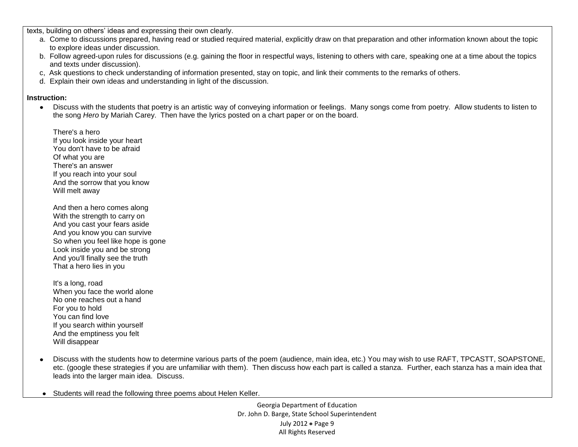texts, building on others' ideas and expressing their own clearly.

- a. Come to discussions prepared, having read or studied required material, explicitly draw on that preparation and other information known about the topic to explore ideas under discussion.
- b. Follow agreed-upon rules for discussions (e.g. gaining the floor in respectful ways, listening to others with care, speaking one at a time about the topics and texts under discussion).
- c, Ask questions to check understanding of information presented, stay on topic, and link their comments to the remarks of others.
- d. Explain their own ideas and understanding in light of the discussion.

# **Instruction:**

 $\bullet$ Discuss with the students that poetry is an artistic way of conveying information or feelings. Many songs come from poetry. Allow students to listen to the song *Hero* by Mariah Carey. Then have the lyrics posted on a chart paper or on the board.

There's a hero If you look inside your heart You don't have to be afraid Of what you are There's an answer If you reach into your soul And the sorrow that you know Will melt away

And then a hero comes along With the strength to carry on And you cast your fears aside And you know you can survive So when you feel like hope is gone Look inside you and be strong And you'll finally see the truth That a hero lies in you

- It's a long, road When you face the world alone No one reaches out a hand For you to hold You can find love If you search within yourself And the emptiness you felt Will disappear
- Discuss with the students how to determine various parts of the poem (audience, main idea, etc.) You may wish to use RAFT, TPCASTT, SOAPSTONE, etc. (google these strategies if you are unfamiliar with them). Then discuss how each part is called a stanza. Further, each stanza has a main idea that leads into the larger main idea. Discuss.

Students will read the following three poems about Helen Keller.

Georgia Department of Education Dr. John D. Barge, State School Superintendent July 2012 Page 9 All Rights Reserved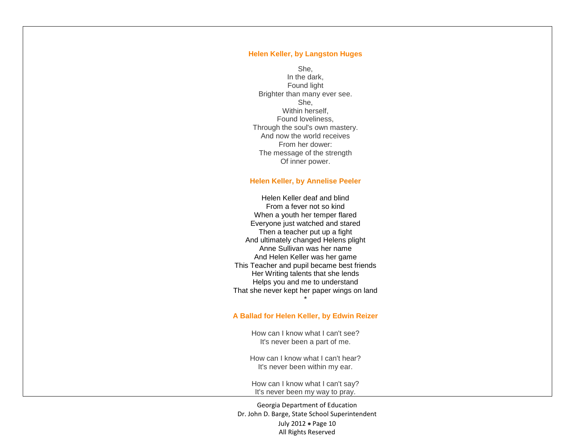#### **Helen Keller, by Langston Huges**

She, In the dark, Found light Brighter than many ever see. She, Within herself, Found loveliness, Through the soul's own mastery. And now the world receives From her dower: The message of the strength Of inner power.

#### **Helen Keller, by Annelise Peeler**

Helen Keller deaf and blind From a fever not so kind When a youth her temper flared Everyone just watched and stared Then a teacher put up a fight And ultimately changed Helens plight Anne Sullivan was her name And Helen Keller was her game This Teacher and pupil became best friends Her Writing talents that she lends Helps you and me to understand That she never kept her paper wings on land \*

#### **A Ballad for Helen Keller, by Edwin Reizer**

How can I know what I can't see? It's never been a part of me.

How can I know what I can't hear? It's never been within my ear.

How can I know what I can't say? It's never been my way to pray.

Georgia Department of Education Dr. John D. Barge, State School Superintendent July 2012 . Page 10 All Rights Reserved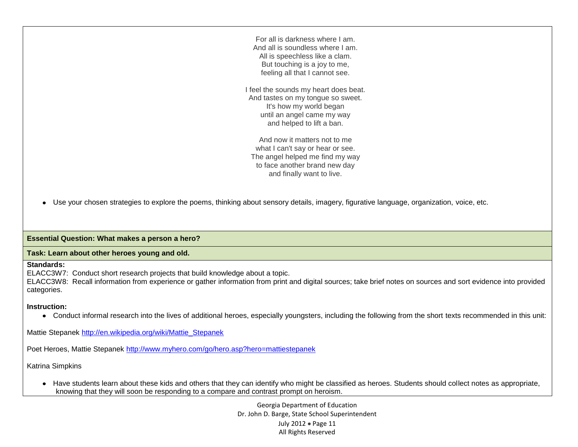For all is darkness where I am. And all is soundless where I am. All is speechless like a clam. But touching is a joy to me, feeling all that I cannot see.

I feel the sounds my heart does beat. And tastes on my tongue so sweet. It's how my world began until an angel came my way and helped to lift a ban.

And now it matters not to me what I can't say or hear or see. The angel helped me find my way to face another brand new day and finally want to live.

Use your chosen strategies to explore the poems, thinking about sensory details, imagery, figurative language, organization, voice, etc.

## **Essential Question: What makes a person a hero?**

**Task: Learn about other heroes young and old.** 

**Standards:**

ELACC3W7: Conduct short research projects that build knowledge about a topic.

ELACC3W8: Recall information from experience or gather information from print and digital sources; take brief notes on sources and sort evidence into provided categories.

## **Instruction:**

Conduct informal research into the lives of additional heroes, especially youngsters, including the following from the short texts recommended in this unit:

Mattie Stepanek [http://en.wikipedia.org/wiki/Mattie\\_Stepanek](http://en.wikipedia.org/wiki/Mattie_Stepanek)

Poet Heroes, Mattie Stepanek<http://www.myhero.com/go/hero.asp?hero=mattiestepanek>

Katrina Simpkins

• Have students learn about these kids and others that they can identify who might be classified as heroes. Students should collect notes as appropriate, knowing that they will soon be responding to a compare and contrast prompt on heroism.

> Georgia Department of Education Dr. John D. Barge, State School Superintendent July 2012 Page 11 All Rights Reserved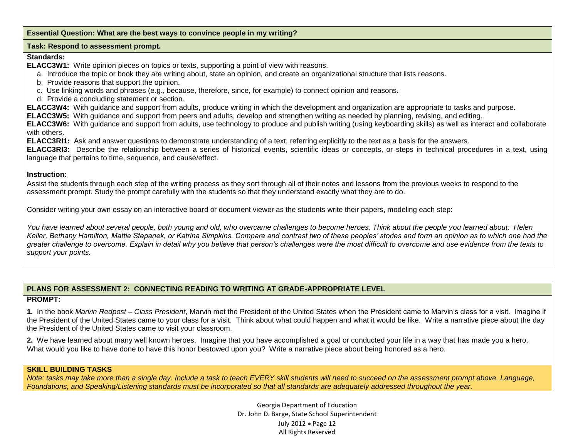#### **Essential Question: What are the best ways to convince people in my writing?**

#### **Task: Respond to assessment prompt.**

# **Standards:**

**ELACC3W1:** Write opinion pieces on topics or texts, supporting a point of view with reasons.

a. Introduce the topic or book they are writing about, state an opinion, and create an organizational structure that lists reasons.

- b. Provide reasons that support the opinion.
- c. Use linking words and phrases (e.g., because, therefore, since, for example) to connect opinion and reasons.
- d. Provide a concluding statement or section.

**ELACC3W4:** With guidance and support from adults, produce writing in which the development and organization are appropriate to tasks and purpose.

**ELACC3W5:** With guidance and support from peers and adults, develop and strengthen writing as needed by planning, revising, and editing.

**ELACC3W6:** With guidance and support from adults, use technology to produce and publish writing (using keyboarding skills) as well as interact and collaborate with others.

**ELACC3RI1:** Ask and answer questions to demonstrate understanding of a text, referring explicitly to the text as a basis for the answers.

**ELACC3RI3:** Describe the relationship between a series of historical events, scientific ideas or concepts, or steps in technical procedures in a text, using language that pertains to time, sequence, and cause/effect.

## **Instruction:**

Assist the students through each step of the writing process as they sort through all of their notes and lessons from the previous weeks to respond to the assessment prompt. Study the prompt carefully with the students so that they understand exactly what they are to do.

Consider writing your own essay on an interactive board or document viewer as the students write their papers, modeling each step:

*You have learned about several people, both young and old, who overcame challenges to become heroes, Think about the people you learned about: Helen Keller, Bethany Hamilton, Mattie Stepanek, or Katrina Simpkins. Compare and contrast two of these peoples' stories and form an opinion as to which one had the greater challenge to overcome. Explain in detail why you believe that person's challenges were the most difficult to overcome and use evidence from the texts to support your points.* 

# **PLANS FOR ASSESSMENT 2: CONNECTING READING TO WRITING AT GRADE-APPROPRIATE LEVEL**

# **PROMPT:**

**1.** In the book *Marvin Redpost – Class President*, Marvin met the President of the United States when the President came to Marvin's class for a visit. Imagine if the President of the United States came to your class for a visit. Think about what could happen and what it would be like. Write a narrative piece about the day the President of the United States came to visit your classroom.

**2.** We have learned about many well known heroes. Imagine that you have accomplished a goal or conducted your life in a way that has made you a hero. What would you like to have done to have this honor bestowed upon you? Write a narrative piece about being honored as a hero.

# **SKILL BUILDING TASKS**

*Note: tasks may take more than a single day. Include a task to teach EVERY skill students will need to succeed on the assessment prompt above. Language, Foundations, and Speaking/Listening standards must be incorporated so that all standards are adequately addressed throughout the year.* 

> Georgia Department of Education Dr. John D. Barge, State School Superintendent July 2012 Page 12 All Rights Reserved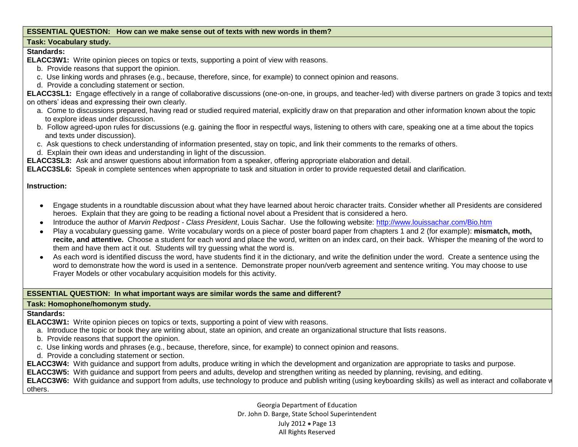#### **ESSENTIAL QUESTION: How can we make sense out of texts with new words in them?**

# **Task: Vocabulary study.**

# **Standards:**

**ELACC3W1:** Write opinion pieces on topics or texts, supporting a point of view with reasons.

- b. Provide reasons that support the opinion.
- c. Use linking words and phrases (e.g., because, therefore, since, for example) to connect opinion and reasons.
- d. Provide a concluding statement or section.

**ELACC3SL1:** Engage effectively in a range of collaborative discussions (one-on-one, in groups, and teacher-led) with diverse partners on grade 3 topics and texts on others' ideas and expressing their own clearly.

- a. Come to discussions prepared, having read or studied required material, explicitly draw on that preparation and other information known about the topic to explore ideas under discussion.
- b. Follow agreed-upon rules for discussions (e.g. gaining the floor in respectful ways, listening to others with care, speaking one at a time about the topics and texts under discussion).
- c. Ask questions to check understanding of information presented, stay on topic, and link their comments to the remarks of others.
- d. Explain their own ideas and understanding in light of the discussion.

**ELACC3SL3:** Ask and answer questions about information from a speaker, offering appropriate elaboration and detail.

**ELACC3SL6:** Speak in complete sentences when appropriate to task and situation in order to provide requested detail and clarification.

# **Instruction:**

- Engage students in a roundtable discussion about what they have learned about heroic character traits. Consider whether all Presidents are considered heroes. Explain that they are going to be reading a fictional novel about a President that is considered a hero.
- Introduce the author of *Marvin Redpost - Class President*, Louis Sachar. Use the following website:<http://www.louissachar.com/Bio.htm>
- Play a vocabulary guessing game. Write vocabulary words on a piece of poster board paper from chapters 1 and 2 (for example): **mismatch, moth,**   $\bullet$ **recite, and attentive.** Choose a student for each word and place the word, written on an index card, on their back. Whisper the meaning of the word to them and have them act it out. Students will try guessing what the word is.
- As each word is identified discuss the word, have students find it in the dictionary, and write the definition under the word. Create a sentence using the word to demonstrate how the word is used in a sentence. Demonstrate proper noun/verb agreement and sentence writing. You may choose to use Frayer Models or other vocabulary acquisition models for this activity.

# **ESSENTIAL QUESTION: In what important ways are similar words the same and different?**

# **Task: Homophone/homonym study.**

# **Standards:**

**ELACC3W1:** Write opinion pieces on topics or texts, supporting a point of view with reasons.

- a. Introduce the topic or book they are writing about, state an opinion, and create an organizational structure that lists reasons.
- b. Provide reasons that support the opinion.
- c. Use linking words and phrases (e.g., because, therefore, since, for example) to connect opinion and reasons.
- d. Provide a concluding statement or section.

**ELACC3W4:** With guidance and support from adults, produce writing in which the development and organization are appropriate to tasks and purpose.

**ELACC3W5:** With guidance and support from peers and adults, develop and strengthen writing as needed by planning, revising, and editing.

**ELACC3W6:** With guidance and support from adults, use technology to produce and publish writing (using keyboarding skills) as well as interact and collaborate w others.

> Georgia Department of Education Dr. John D. Barge, State School Superintendent July 2012 Page 13 All Rights Reserved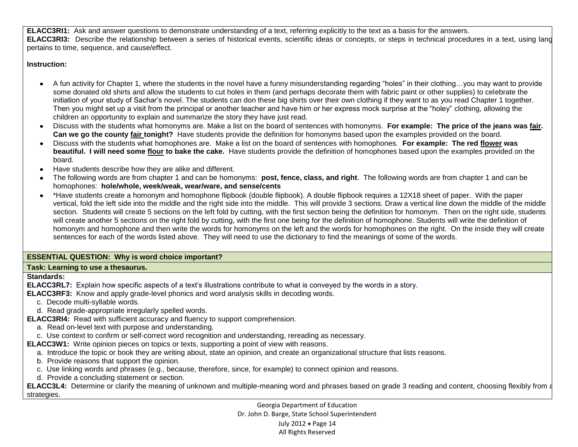**ELACC3RI1:** Ask and answer questions to demonstrate understanding of a text, referring explicitly to the text as a basis for the answers. **ELACC3RI3:** Describe the relationship between a series of historical events, scientific ideas or concepts, or steps in technical procedures in a text, using land pertains to time, sequence, and cause/effect.

# **Instruction:**

- A fun activity for Chapter 1, where the students in the novel have a funny misunderstanding regarding "holes" in their clothing…you may want to provide some donated old shirts and allow the students to cut holes in them (and perhaps decorate them with fabric paint or other supplies) to celebrate the initiation of your study of Sachar's novel. The students can don these big shirts over their own clothing if they want to as you read Chapter 1 together. Then you might set up a visit from the principal or another teacher and have him or her express mock surprise at the "holey" clothing, allowing the children an opportunity to explain and summarize the story they have just read.
- Discuss with the students what homonyms are. Make a list on the board of sentences with homonyms. **For example: The price of the jeans was fair.**   $\bullet$ **Can we go the county fair tonight?** Have students provide the definition for homonyms based upon the examples provided on the board.
- Discuss with the students what homophones are. Make a list on the board of sentences with homophones. **For example: The red flower was beautiful. I will need some flour to bake the cake.** Have students provide the definition of homophones based upon the examples provided on the board.
- Have students describe how they are alike and different.
- The following words are from chapter 1 and can be homonyms: **post, fence, class, and right**. The following words are from chapter 1 and can be homophones: **hole/whole, week/weak, wear/ware, and sense/cents**
- \*Have students create a homonym and homophone flipbook (double flipbook). A double flipbook requires a 12X18 sheet of paper. With the paper vertical, fold the left side into the middle and the right side into the middle. This will provide 3 sections. Draw a vertical line down the middle of the middle section. Students will create 5 sections on the left fold by cutting, with the first section being the definition for homonym. Then on the right side, students will create another 5 sections on the right fold by cutting, with the first one being for the definition of homophone. Students will write the definition of homonym and homophone and then write the words for homonyms on the left and the words for homophones on the right. On the inside they will create sentences for each of the words listed above. They will need to use the dictionary to find the meanings of some of the words.

# **ESSENTIAL QUESTION: Why is word choice important?**

## **Task: Learning to use a thesaurus.**

## **Standards:**

**ELACC3RL7:** Explain how specific aspects of a text's illustrations contribute to what is conveyed by the words in a story.

**ELACC3RF3:** Know and apply grade-level phonics and word analysis skills in decoding words.

- c. Decode multi-syllable words.
- d. Read grade-appropriate irregularly spelled words.

**ELACC3RI4:** Read with sufficient accuracy and fluency to support comprehension.

- a. Read on-level text with purpose and understanding.
- c. Use context to confirm or self-correct word recognition and understanding, rereading as necessary.

**ELACC3W1:** Write opinion pieces on topics or texts, supporting a point of view with reasons.

- a. Introduce the topic or book they are writing about, state an opinion, and create an organizational structure that lists reasons.
- b. Provide reasons that support the opinion.
- c. Use linking words and phrases (e.g., because, therefore, since, for example) to connect opinion and reasons.
- d. Provide a concluding statement or section.

**ELACC3L4:** Determine or clarify the meaning of unknown and multiple-meaning word and phrases based on grade 3 reading and content, choosing flexibly from a strategies.

> Georgia Department of Education Dr. John D. Barge, State School Superintendent July 2012 Page 14 All Rights Reserved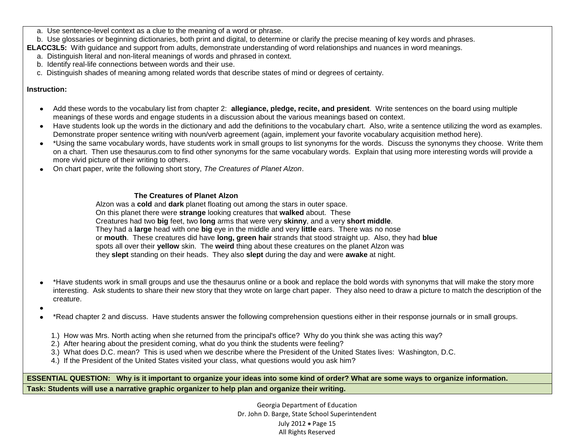- a. Use sentence-level context as a clue to the meaning of a word or phrase.
- b. Use glossaries or beginning dictionaries, both print and digital, to determine or clarify the precise meaning of key words and phrases.
- **ELACC3L5:** With guidance and support from adults, demonstrate understanding of word relationships and nuances in word meanings.
	- a. Distinguish literal and non-literal meanings of words and phrased in context.
	- b. Identify real-life connections between words and their use.
	- c. Distinguish shades of meaning among related words that describe states of mind or degrees of certainty.

# **Instruction:**

- Add these words to the vocabulary list from chapter 2: **allegiance, pledge, recite, and president**. Write sentences on the board using multiple meanings of these words and engage students in a discussion about the various meanings based on context.
- Have students look up the words in the dictionary and add the definitions to the vocabulary chart. Also, write a sentence utilizing the word as examples. Demonstrate proper sentence writing with noun/verb agreement (again, implement your favorite vocabulary acquisition method here).
- \*Using the same vocabulary words, have students work in small groups to list synonyms for the words. Discuss the synonyms they choose. Write them on a chart. Then use thesaurus.com to find other synonyms for the same vocabulary words. Explain that using more interesting words will provide a more vivid picture of their writing to others.
- $\bullet$ On chart paper, write the following short story, *The Creatures of Planet Alzon*.

# **The Creatures of Planet Alzon**

Alzon was a **cold** and **dark** planet floating out among the stars in outer space. On this planet there were **strange** looking creatures that **walked** about. These Creatures had two **big** feet, two **long** arms that were very **skinny**, and a very **short middle**. They had a **large** head with one **big** eye in the middle and very **little** ears. There was no nose or **mouth**. These creatures did have **long, green hair** strands that stood straight up. Also, they had **blue** spots all over their **yellow** skin. The **weird** thing about these creatures on the planet Alzon was they **slept** standing on their heads. They also **slept** during the day and were **awake** at night.

- \*Have students work in small groups and use the thesaurus online or a book and replace the bold words with synonyms that will make the story more  $\bullet$ interesting. Ask students to share their new story that they wrote on large chart paper. They also need to draw a picture to match the description of the creature.
- 
- \*Read chapter 2 and discuss. Have students answer the following comprehension questions either in their response journals or in small groups.
- 1.) How was Mrs. North acting when she returned from the principal's office? Why do you think she was acting this way?
- 2.) After hearing about the president coming, what do you think the students were feeling?
- 3.) What does D.C. mean? This is used when we describe where the President of the United States lives: Washington, D.C.
- 4.) If the President of the United States visited your class, what questions would you ask him?

**ESSENTIAL QUESTION: Why is it important to organize your ideas into some kind of order? What are some ways to organize information. Task: Students will use a narrative graphic organizer to help plan and organize their writing.**

> Georgia Department of Education Dr. John D. Barge, State School Superintendent July 2012 Page 15 All Rights Reserved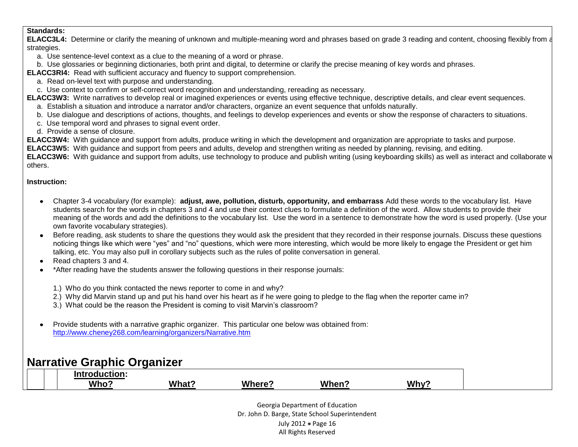# **Standards:**

**ELACC3L4:** Determine or clarify the meaning of unknown and multiple-meaning word and phrases based on grade 3 reading and content, choosing flexibly from a strategies.

a. Use sentence-level context as a clue to the meaning of a word or phrase.

b. Use glossaries or beginning dictionaries, both print and digital, to determine or clarify the precise meaning of key words and phrases.

- **ELACC3RI4:** Read with sufficient accuracy and fluency to support comprehension.
	- a. Read on-level text with purpose and understanding.
	- c. Use context to confirm or self-correct word recognition and understanding, rereading as necessary.

**ELACC3W3:** Write narratives to develop real or imagined experiences or events using effective technique, descriptive details, and clear event sequences.

- a. Establish a situation and introduce a narrator and/or characters, organize an event sequence that unfolds naturally.
- b. Use dialogue and descriptions of actions, thoughts, and feelings to develop experiences and events or show the response of characters to situations.
- c. Use temporal word and phrases to signal event order.
- d. Provide a sense of closure.

**ELACC3W4:** With guidance and support from adults, produce writing in which the development and organization are appropriate to tasks and purpose.

**ELACC3W5:** With guidance and support from peers and adults, develop and strengthen writing as needed by planning, revising, and editing.

**ELACC3W6:** With guidance and support from adults, use technology to produce and publish writing (using keyboarding skills) as well as interact and collaborate w others.

# **Instruction:**

- Chapter 3-4 vocabulary (for example): **adjust, awe, pollution, disturb, opportunity, and embarrass** Add these words to the vocabulary list. Have  $\bullet$ students search for the words in chapters 3 and 4 and use their context clues to formulate a definition of the word. Allow students to provide their meaning of the words and add the definitions to the vocabulary list. Use the word in a sentence to demonstrate how the word is used properly. (Use your own favorite vocabulary strategies).
- Before reading, ask students to share the questions they would ask the president that they recorded in their response journals. Discuss these questions  $\bullet$ noticing things like which were "yes" and "no" questions, which were more interesting, which would be more likely to engage the President or get him talking, etc. You may also pull in corollary subjects such as the rules of polite conversation in general.
- Read chapters 3 and 4.
- \*After reading have the students answer the following questions in their response journals:
	- 1.) Who do you think contacted the news reporter to come in and why?
	- 2.) Why did Marvin stand up and put his hand over his heart as if he were going to pledge to the flag when the reporter came in?
	- 3.) What could be the reason the President is coming to visit Marvin's classroom?
- Provide students with a narrative graphic organizer. This particular one below was obtained from: <http://www.cheney268.com/learning/organizers/Narrative.htm>

# **Narrative Graphic Organizer**

|  | Introduction: |       |        |       |      |  |
|--|---------------|-------|--------|-------|------|--|
|  | Who?          | What? | Where? | When? | Why? |  |

Georgia Department of Education Dr. John D. Barge, State School Superintendent July 2012 Page 16 All Rights Reserved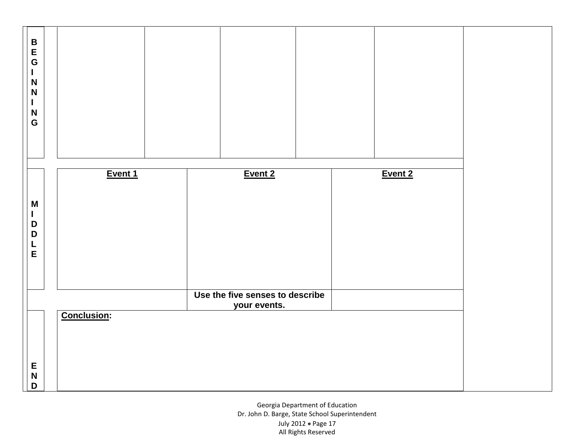| B<br>E<br>G<br>$\mathbf{I}$<br>$\boldsymbol{\mathsf{N}}$<br>$\boldsymbol{\mathsf{N}}$<br>$\mathbf{I}$<br>$\boldsymbol{\mathsf{N}}$<br>$\mathbf G$ |                    |                                                 |         |  |
|---------------------------------------------------------------------------------------------------------------------------------------------------|--------------------|-------------------------------------------------|---------|--|
|                                                                                                                                                   | Event 1            | Event 2                                         | Event 2 |  |
| M<br>$\mathbf{I}$<br>$\mathbf D$<br>$\mathbf D$<br>L<br>E                                                                                         |                    |                                                 |         |  |
|                                                                                                                                                   |                    | Use the five senses to describe<br>your events. |         |  |
| $\mathsf E$<br>$\mathsf{N}$<br>$\mathbf D$                                                                                                        | <b>Conclusion:</b> |                                                 |         |  |

Georgia Department of Education Dr. John D. Barge, State School Superintendent July 2012 . Page 17 All Rights Reserved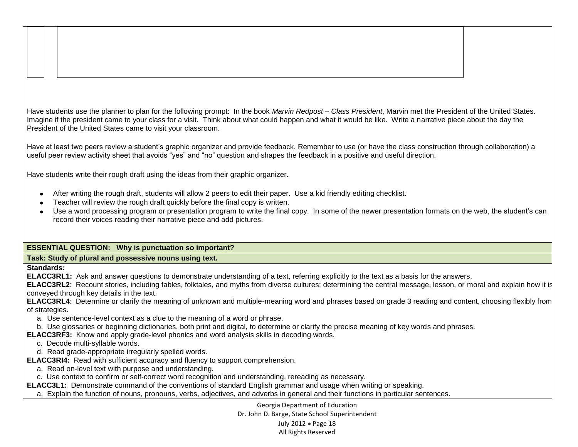Have students use the planner to plan for the following prompt: In the book *Marvin Redpost – Class President*, Marvin met the President of the United States. Imagine if the president came to your class for a visit. Think about what could happen and what it would be like. Write a narrative piece about the day the President of the United States came to visit your classroom.

Have at least two peers review a student's graphic organizer and provide feedback. Remember to use (or have the class construction through collaboration) a useful peer review activity sheet that avoids "yes" and "no" question and shapes the feedback in a positive and useful direction.

Have students write their rough draft using the ideas from their graphic organizer.

- After writing the rough draft, students will allow 2 peers to edit their paper. Use a kid friendly editing checklist.
- Teacher will review the rough draft quickly before the final copy is written.
- Use a word processing program or presentation program to write the final copy. In some of the newer presentation formats on the web, the student's can  $\bullet$ record their voices reading their narrative piece and add pictures.

## **ESSENTIAL QUESTION: Why is punctuation so important?**

# **Task: Study of plural and possessive nouns using text.**

**Standards:**

**ELACC3RL1:** Ask and answer questions to demonstrate understanding of a text, referring explicitly to the text as a basis for the answers.

**ELACC3RL2**: Recount stories, including fables, folktales, and myths from diverse cultures; determining the central message, lesson, or moral and explain how it is conveyed through key details in the text.

ELACC3RL4: Determine or clarify the meaning of unknown and multiple-meaning word and phrases based on grade 3 reading and content, choosing flexibly from of strategies.

- a. Use sentence-level context as a clue to the meaning of a word or phrase.
- b. Use glossaries or beginning dictionaries, both print and digital, to determine or clarify the precise meaning of key words and phrases.

**ELACC3RF3:** Know and apply grade-level phonics and word analysis skills in decoding words.

- c. Decode multi-syllable words.
- d. Read grade-appropriate irregularly spelled words.
- **ELACC3RI4:** Read with sufficient accuracy and fluency to support comprehension.
	- a. Read on-level text with purpose and understanding.
	- c. Use context to confirm or self-correct word recognition and understanding, rereading as necessary.
- **ELACC3L1:** Demonstrate command of the conventions of standard English grammar and usage when writing or speaking.
	- a. Explain the function of nouns, pronouns, verbs, adjectives, and adverbs in general and their functions in particular sentences.

Georgia Department of Education Dr. John D. Barge, State School Superintendent July 2012 Page 18

All Rights Reserved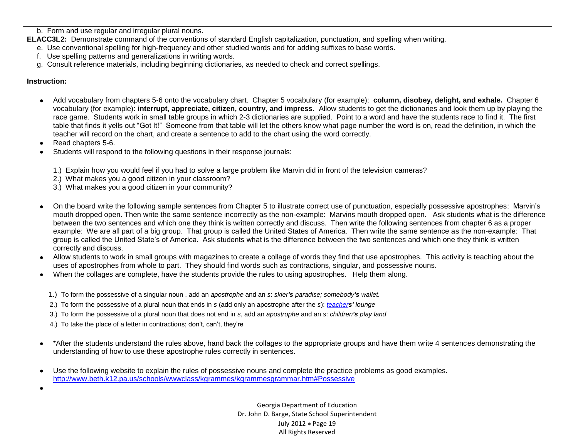b. Form and use regular and irregular plural nouns.

**ELACC3L2:** Demonstrate command of the conventions of standard English capitalization, punctuation, and spelling when writing.

- e. Use conventional spelling for high-frequency and other studied words and for adding suffixes to base words.
- f. Use spelling patterns and generalizations in writing words.
- g. Consult reference materials, including beginning dictionaries, as needed to check and correct spellings.

# **Instruction:**

 $\bullet$ 

- Add vocabulary from chapters 5-6 onto the vocabulary chart. Chapter 5 vocabulary (for example): **column, disobey, delight, and exhale.** Chapter 6 vocabulary (for example): **interrupt, appreciate, citizen, country, and impress.** Allow students to get the dictionaries and look them up by playing the race game. Students work in small table groups in which 2-3 dictionaries are supplied. Point to a word and have the students race to find it. The first table that finds it yells out "Got It!" Someone from that table will let the others know what page number the word is on, read the definition, in which the teacher will record on the chart, and create a sentence to add to the chart using the word correctly.
- Read chapters 5-6.
- Students will respond to the following questions in their response journals:
	- 1.) Explain how you would feel if you had to solve a large problem like Marvin did in front of the television cameras?
	- 2.) What makes you a good citizen in your classroom?
	- 3.) What makes you a good citizen in your community?
- On the board write the following sample sentences from Chapter 5 to illustrate correct use of punctuation, especially possessive apostrophes: Marvin's mouth dropped open. Then write the same sentence incorrectly as the non-example: Marvins mouth dropped open. Ask students what is the difference between the two sentences and which one they think is written correctly and discuss. Then write the following sentences from chapter 6 as a proper example: We are all part of a big group. That group is called the United States of America. Then write the same sentence as the non-example: That group is called the United State's of America. Ask students what is the difference between the two sentences and which one they think is written correctly and discuss.
- Allow students to work in small groups with magazines to create a collage of words they find that use apostrophes. This activity is teaching about the uses of apostrophes from whole to part. They should find words such as contractions, singular, and possessive nouns.
- When the collages are complete, have the students provide the rules to using apostrophes. Help them along.
	- 1.) To form the possessive of a singular noun , add an *apostrophe* and an *s*: *skier's paradise; somebody's wallet.*
	- 2.) To form the possessive of a plural noun that ends in *s* (add only an apostrophe after the *s*): *[teacher](http://www.brighthubeducation.com/middle-school-english-lessons/20213-apostrophe-use-and-rules/)s' lounge*
	- 3.) To form the possessive of a plural noun that does not end in *s*, add an *apostrophe* and an *s*: *children's play land*
	- 4.) To take the place of a letter in contractions; don't, can't, they're
- \*After the students understand the rules above, hand back the collages to the appropriate groups and have them write 4 sentences demonstrating the  $\bullet$ understanding of how to use these apostrophe rules correctly in sentences.
- Use the following website to explain the rules of possessive nouns and complete the practice problems as good examples.  $\bullet$ <http://www.beth.k12.pa.us/schools/wwwclass/kgrammes/kgrammesgrammar.htm#Possessive>
	- Georgia Department of Education Dr. John D. Barge, State School Superintendent July 2012 . Page 19 All Rights Reserved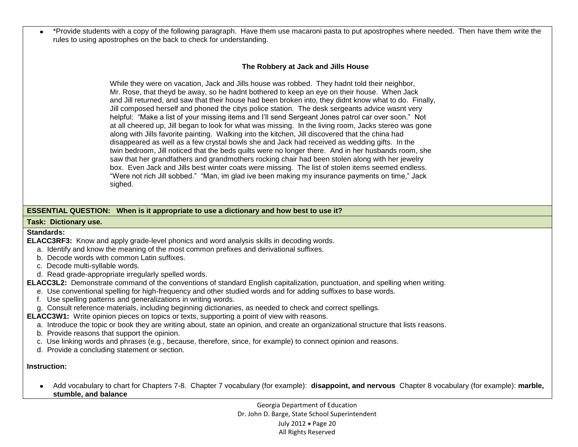\*Provide students with a copy of the following paragraph. Have them use macaroni pasta to put apostrophes where needed. Then have them write the rules to using apostrophes on the back to check for understanding.

# **The Robbery at Jack and Jills House**

 While they were on vacation, Jack and Jills house was robbed. They hadnt told their neighbor, Mr. Rose, that theyd be away, so he hadnt bothered to keep an eye on their house. When Jack and Jill returned, and saw that their house had been broken into, they didnt know what to do. Finally, Jill composed herself and phoned the citys police station. The desk sergeants advice wasnt very helpful: "Make a list of your missing items and I'll send Sergeant Jones patrol car over soon." Not at all cheered up, Jill began to look for what was missing. In the living room, Jacks stereo was gone along with Jills favorite painting. Walking into the kitchen, Jill discovered that the china had disappeared as well as a few crystal bowls she and Jack had received as wedding gifts. In the twin bedroom, Jill noticed that the beds quilts were no longer there. And in her husbands room, she saw that her grandfathers and grandmothers rocking chair had been stolen along with her jewelry box. Even Jack and Jills best winter coats were missing. The list of stolen items seemed endless. "Were not rich Jill sobbed." "Man, im glad ive been making my insurance payments on time," Jack sighed.

## **ESSENTIAL QUESTION: When is it appropriate to use a dictionary and how best to use it?**

#### **Task: Dictionary use.**

#### **Standards:**

**ELACC3RF3:** Know and apply grade-level phonics and word analysis skills in decoding words.

- a. Identify and know the meaning of the most common prefixes and derivational suffixes.
- b. Decode words with common Latin suffixes.
- c. Decode multi-syllable words.
- d. Read grade-appropriate irregularly spelled words.

**ELACC3L2:** Demonstrate command of the conventions of standard English capitalization, punctuation, and spelling when writing.

- e. Use conventional spelling for high-frequency and other studied words and for adding suffixes to base words.
- f. Use spelling patterns and generalizations in writing words.
- g. Consult reference materials, including beginning dictionaries, as needed to check and correct spellings.
- **ELACC3W1:** Write opinion pieces on topics or texts, supporting a point of view with reasons.
	- a. Introduce the topic or book they are writing about, state an opinion, and create an organizational structure that lists reasons.
	- b. Provide reasons that support the opinion.
	- c. Use linking words and phrases (e.g., because, therefore, since, for example) to connect opinion and reasons.
	- d. Provide a concluding statement or section.

## **Instruction:**

Add vocabulary to chart for Chapters 7-8. Chapter 7 vocabulary (for example): **disappoint, and nervous** Chapter 8 vocabulary (for example): **marble, stumble, and balance** 

> Georgia Department of Education Dr. John D. Barge, State School Superintendent July 2012 Page 20 All Rights Reserved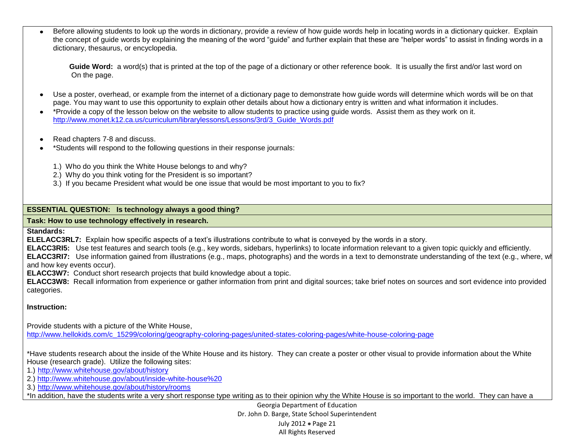Before allowing students to look up the words in dictionary, provide a review of how guide words help in locating words in a dictionary quicker. Explain the concept of guide words by explaining the meaning of the word "guide" and further explain that these are "helper words" to assist in finding words in a dictionary, thesaurus, or encyclopedia.

Guide Word: a word(s) that is printed at the top of the page of a dictionary or other reference book. It is usually the first and/or last word on On the page.

- Use a poster, overhead, or example from the internet of a dictionary page to demonstrate how guide words will determine which words will be on that page. You may want to use this opportunity to explain other details about how a dictionary entry is written and what information it includes.
- \*Provide a copy of the lesson below on the website to allow students to practice using guide words. Assist them as they work on it. [http://www.monet.k12.ca.us/curriculum/librarylessons/Lessons/3rd/3\\_Guide\\_Words.pdf](http://www.monet.k12.ca.us/curriculum/librarylessons/Lessons/3rd/3_Guide_Words.pdf)
- Read chapters 7-8 and discuss.  $\bullet$
- \*Students will respond to the following questions in their response journals:
	- 1.) Who do you think the White House belongs to and why?
	- 2.) Why do you think voting for the President is so important?
	- 3.) If you became President what would be one issue that would be most important to you to fix?

# **ESSENTIAL QUESTION: Is technology always a good thing?**

# **Task: How to use technology effectively in research.**

**Standards:** 

**ELELACC3RL7:** Explain how specific aspects of a text's illustrations contribute to what is conveyed by the words in a story.

**ELACC3RI5:** Use test features and search tools (e.g., key words, sidebars, hyperlinks) to locate information relevant to a given topic quickly and efficiently. **ELACC3RI7:** Use information gained from illustrations (e.g., maps, photographs) and the words in a text to demonstrate understanding of the text (e.g., where, wh

and how key events occur).

**ELACC3W7:** Conduct short research projects that build knowledge about a topic.

**ELACC3W8:** Recall information from experience or gather information from print and digital sources; take brief notes on sources and sort evidence into provided categories.

# **Instruction:**

Provide students with a picture of the White House,

[http://www.hellokids.com/c\\_15299/coloring/geography-coloring-pages/united-states-coloring-pages/white-house-coloring-page](http://www.hellokids.com/c_15299/coloring/geography-coloring-pages/united-states-coloring-pages/white-house-coloring-page)

\*Have students research about the inside of the White House and its history. They can create a poster or other visual to provide information about the White House (research grade). Utilize the following sites:

1.) <http://www.whitehouse.gov/about/history>

2.) [http://www.whitehouse.gov/about/inside-white-house%20](http://www.whitehouse.gov/about/inside-white-house)

3.) <http://www.whitehouse.gov/about/history/rooms>

\*In addition, have the students write a very short response type writing as to their opinion why the White House is so important to the world. They can have a

Georgia Department of Education

Dr. John D. Barge, State School Superintendent

#### July 2012 Page 21

All Rights Reserved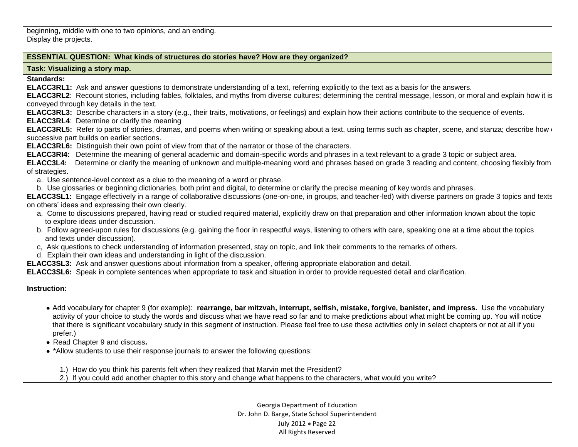beginning, middle with one to two opinions, and an ending. Display the projects.

# **ESSENTIAL QUESTION: What kinds of structures do stories have? How are they organized?**

# **Task: Visualizing a story map.**

**Standards:**

**ELACC3RL1:** Ask and answer questions to demonstrate understanding of a text, referring explicitly to the text as a basis for the answers.

**ELACC3RL2**: Recount stories, including fables, folktales, and myths from diverse cultures; determining the central message, lesson, or moral and explain how it is conveyed through key details in the text.

**ELACC3RL3:** Describe characters in a story (e.g., their traits, motivations, or feelings) and explain how their actions contribute to the sequence of events.

**ELACC3RL4**: Determine or clarify the meaning

**ELACC3RL5:** Refer to parts of stories, dramas, and poems when writing or speaking about a text, using terms such as chapter, scene, and stanza; describe how successive part builds on earlier sections.

**ELACC3RL6:** Distinguish their own point of view from that of the narrator or those of the characters.

**ELACC3RI4:** Determine the meaning of general academic and domain-specific words and phrases in a text relevant to a grade 3 topic or subject area.

**ELACC3L4:** Determine or clarify the meaning of unknown and multiple-meaning word and phrases based on grade 3 reading and content, choosing flexibly from of strategies.

- a. Use sentence-level context as a clue to the meaning of a word or phrase.
- b. Use glossaries or beginning dictionaries, both print and digital, to determine or clarify the precise meaning of key words and phrases.

**ELACC3SL1:** Engage effectively in a range of collaborative discussions (one-on-one, in groups, and teacher-led) with diverse partners on grade 3 topics and texts on others' ideas and expressing their own clearly.

- a. Come to discussions prepared, having read or studied required material, explicitly draw on that preparation and other information known about the topic to explore ideas under discussion.
- b. Follow agreed-upon rules for discussions (e.g. gaining the floor in respectful ways, listening to others with care, speaking one at a time about the topics and texts under discussion).
- c, Ask questions to check understanding of information presented, stay on topic, and link their comments to the remarks of others.
- d. Explain their own ideas and understanding in light of the discussion.
- **ELACC3SL3:** Ask and answer questions about information from a speaker, offering appropriate elaboration and detail.

**ELACC3SL6:** Speak in complete sentences when appropriate to task and situation in order to provide requested detail and clarification.

**Instruction:** 

- Add vocabulary for chapter 9 (for example): **rearrange, bar mitzvah, interrupt, selfish, mistake, forgive, banister, and impress.** Use the vocabulary activity of your choice to study the words and discuss what we have read so far and to make predictions about what might be coming up. You will notice that there is significant vocabulary study in this segment of instruction. Please feel free to use these activities only in select chapters or not at all if you prefer.)
- Read Chapter 9 and discuss**.**
- \*Allow students to use their response journals to answer the following questions:
	- 1.) How do you think his parents felt when they realized that Marvin met the President?
	- 2.) If you could add another chapter to this story and change what happens to the characters, what would you write?

Georgia Department of Education Dr. John D. Barge, State School Superintendent July 2012 Page 22 All Rights Reserved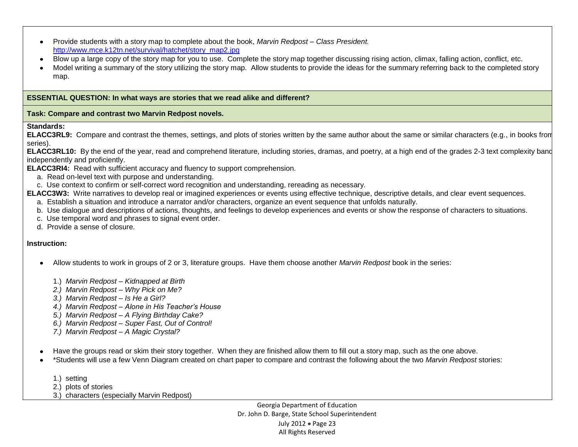- Provide students with a story map to complete about the book, *Marvin Redpost – Class President.*   $\bullet$ [http://www.mce.k12tn.net/survival/hatchet/story\\_map2.jpg](http://www.mce.k12tn.net/survival/hatchet/story_map2.jpg)
- Blow up a large copy of the story map for you to use. Complete the story map together discussing rising action, climax, falling action, conflict, etc.
- Model writing a summary of the story utilizing the story map. Allow students to provide the ideas for the summary referring back to the completed story map.

# **ESSENTIAL QUESTION: In what ways are stories that we read alike and different?**

# **Task: Compare and contrast two Marvin Redpost novels.**

# **Standards:**

**ELACC3RL9:** Compare and contrast the themes, settings, and plots of stories written by the same author about the same or similar characters (e.g., in books from series).

**ELACC3RL10:** By the end of the year, read and comprehend literature, including stories, dramas, and poetry, at a high end of the grades 2-3 text complexity band independently and proficiently.

**ELACC3RI4:** Read with sufficient accuracy and fluency to support comprehension.

a. Read on-level text with purpose and understanding.

c. Use context to confirm or self-correct word recognition and understanding, rereading as necessary.

**ELACC3W3:** Write narratives to develop real or imagined experiences or events using effective technique, descriptive details, and clear event sequences.

- a. Establish a situation and introduce a narrator and/or characters, organize an event sequence that unfolds naturally.
- b. Use dialogue and descriptions of actions, thoughts, and feelings to develop experiences and events or show the response of characters to situations.
- c. Use temporal word and phrases to signal event order.
- d. Provide a sense of closure.

# **Instruction:**

- Allow students to work in groups of 2 or 3, literature groups. Have them choose another *Marvin Redpost* book in the series:
	- 1.)*Marvin Redpost – Kidnapped at Birth*
	- *2.) Marvin Redpost – Why Pick on Me?*
	- *3.) Marvin Redpost – Is He a Girl?*
	- *4.) Marvin Redpost – Alone in His Teacher's House*
	- *5.) Marvin Redpost – A Flying Birthday Cake?*
	- *6.) Marvin Redpost – Super Fast, Out of Control!*
	- *7.) Marvin Redpost – A Magic Crystal?*
- Have the groups read or skim their story together. When they are finished allow them to fill out a story map, such as the one above.
- \*Students will use a few Venn Diagram created on chart paper to compare and contrast the following about the two *Marvin Redpost* stories:
	- 1.) setting
	- 2.) plots of stories
	- 3.) characters (especially Marvin Redpost)

Georgia Department of Education Dr. John D. Barge, State School Superintendent July 2012 Page 23 All Rights Reserved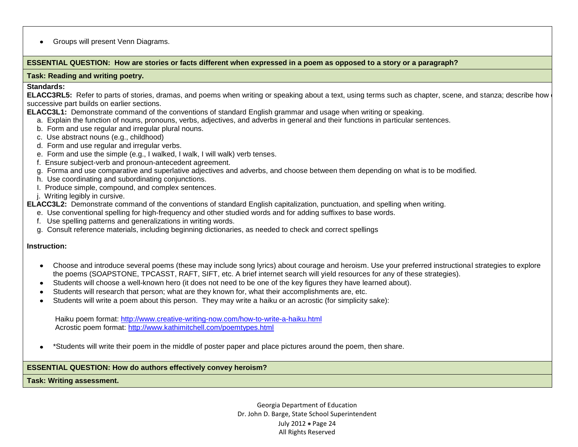Groups will present Venn Diagrams.

### **ESSENTIAL QUESTION: How are stories or facts different when expressed in a poem as opposed to a story or a paragraph?**

#### **Task: Reading and writing poetry.**

**Standards:**

**ELACC3RL5:** Refer to parts of stories, dramas, and poems when writing or speaking about a text, using terms such as chapter, scene, and stanza; describe how successive part builds on earlier sections.

**ELACC3L1:** Demonstrate command of the conventions of standard English grammar and usage when writing or speaking.

- a. Explain the function of nouns, pronouns, verbs, adjectives, and adverbs in general and their functions in particular sentences.
- b. Form and use regular and irregular plural nouns.
- c. Use abstract nouns (e.g., childhood)
- d. Form and use regular and irregular verbs.
- e. Form and use the simple (e.g., I walked, I walk, I will walk) verb tenses.
- f. Ensure subject-verb and pronoun-antecedent agreement.
- g. Forma and use comparative and superlative adjectives and adverbs, and choose between them depending on what is to be modified.
- h. Use coordinating and subordinating conjunctions.
- I. Produce simple, compound, and complex sentences.
- j. Writing legibly in cursive.

**ELACC3L2:** Demonstrate command of the conventions of standard English capitalization, punctuation, and spelling when writing.

- e. Use conventional spelling for high-frequency and other studied words and for adding suffixes to base words.
- f. Use spelling patterns and generalizations in writing words.
- g. Consult reference materials, including beginning dictionaries, as needed to check and correct spellings

## **Instruction:**

- Choose and introduce several poems (these may include song lyrics) about courage and heroism. Use your preferred instructional strategies to explore  $\bullet$ the poems (SOAPSTONE, TPCASST, RAFT, SIFT, etc. A brief internet search will yield resources for any of these strategies).
- Students will choose a well-known hero (it does not need to be one of the key figures they have learned about).
- Students will research that person; what are they known for, what their accomplishments are, etc.
- Students will write a poem about this person. They may write a haiku or an acrostic (for simplicity sake):  $\bullet$

Haiku poem format:<http://www.creative-writing-now.com/how-to-write-a-haiku.html> Acrostic poem format:<http://www.kathimitchell.com/poemtypes.html>

\*Students will write their poem in the middle of poster paper and place pictures around the poem, then share.

## **ESSENTIAL QUESTION: How do authors effectively convey heroism?**

**Task: Writing assessment.** 

Georgia Department of Education Dr. John D. Barge, State School Superintendent July 2012 Page 24 All Rights Reserved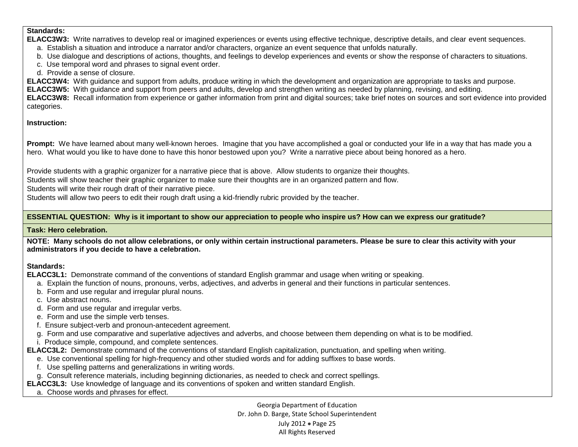# **Standards:**

**ELACC3W3:** Write narratives to develop real or imagined experiences or events using effective technique, descriptive details, and clear event sequences.

a. Establish a situation and introduce a narrator and/or characters, organize an event sequence that unfolds naturally.

b. Use dialogue and descriptions of actions, thoughts, and feelings to develop experiences and events or show the response of characters to situations.

c. Use temporal word and phrases to signal event order.

d. Provide a sense of closure.

**ELACC3W4:** With guidance and support from adults, produce writing in which the development and organization are appropriate to tasks and purpose.

**ELACC3W5:** With guidance and support from peers and adults, develop and strengthen writing as needed by planning, revising, and editing.

**ELACC3W8:** Recall information from experience or gather information from print and digital sources; take brief notes on sources and sort evidence into provided categories.

# **Instruction:**

Prompt: We have learned about many well-known heroes. Imagine that you have accomplished a goal or conducted your life in a way that has made you a hero. What would you like to have done to have this honor bestowed upon you? Write a narrative piece about being honored as a hero.

Provide students with a graphic organizer for a narrative piece that is above. Allow students to organize their thoughts.

Students will show teacher their graphic organizer to make sure their thoughts are in an organized pattern and flow.

Students will write their rough draft of their narrative piece.

Students will allow two peers to edit their rough draft using a kid-friendly rubric provided by the teacher.

**ESSENTIAL QUESTION: Why is it important to show our appreciation to people who inspire us? How can we express our gratitude?**

# **Task: Hero celebration.**

**NOTE: Many schools do not allow celebrations, or only within certain instructional parameters. Please be sure to clear this activity with your administrators if you decide to have a celebration.** 

# **Standards:**

**ELACC3L1:** Demonstrate command of the conventions of standard English grammar and usage when writing or speaking.

- a. Explain the function of nouns, pronouns, verbs, adjectives, and adverbs in general and their functions in particular sentences.
- b. Form and use regular and irregular plural nouns.
- c. Use abstract nouns.
- d. Form and use regular and irregular verbs.
- e. Form and use the simple verb tenses.
- f. Ensure subject-verb and pronoun-antecedent agreement.
- g. Form and use comparative and superlative adjectives and adverbs, and choose between them depending on what is to be modified.
- i. Produce simple, compound, and complete sentences.

**ELACC3L2:** Demonstrate command of the conventions of standard English capitalization, punctuation, and spelling when writing.

- e. Use conventional spelling for high-frequency and other studied words and for adding suffixes to base words.
- f. Use spelling patterns and generalizations in writing words.
- g. Consult reference materials, including beginning dictionaries, as needed to check and correct spellings.
- **ELACC3L3:** Use knowledge of language and its conventions of spoken and written standard English.
	- a. Choose words and phrases for effect.

Georgia Department of Education Dr. John D. Barge, State School Superintendent July 2012 Page 25 All Rights Reserved